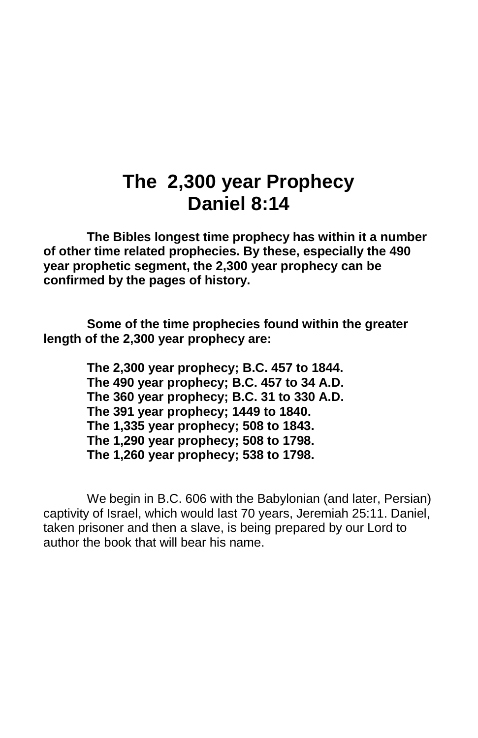## **The 2,300 year Prophecy Daniel 8:14**

**The Bibles longest time prophecy has within it a number of other time related prophecies. By these, especially the 490 year prophetic segment, the 2,300 year prophecy can be confirmed by the pages of history.**

**Some of the time prophecies found within the greater length of the 2,300 year prophecy are:**

> **The 2,300 year prophecy; B.C. 457 to 1844. The 490 year prophecy; B.C. 457 to 34 A.D. The 360 year prophecy; B.C. 31 to 330 A.D. The 391 year prophecy; 1449 to 1840. The 1,335 year prophecy; 508 to 1843. The 1,290 year prophecy; 508 to 1798. The 1,260 year prophecy; 538 to 1798.**

We begin in B.C. 606 with the Babylonian (and later, Persian) captivity of Israel, which would last 70 years, Jeremiah 25:11. Daniel, taken prisoner and then a slave, is being prepared by our Lord to author the book that will bear his name.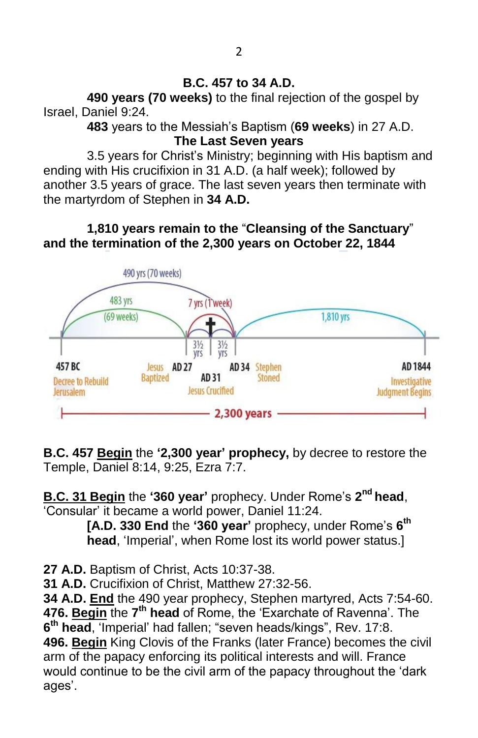## **B.C. 457 to 34 A.D.**

**490 years (70 weeks)** to the final rejection of the gospel by Israel, Daniel 9:24.

> **483** years to the Messiah's Baptism (**69 weeks**) in 27 A.D. **The Last Seven years**

3.5 years for Christ's Ministry; beginning with His baptism and ending with His crucifixion in 31 A.D. (a half week); followed by another 3.5 years of grace. The last seven years then terminate with the martyrdom of Stephen in **34 A.D.**

## **1,810 years remain to the** "**Cleansing of the Sanctuary**" **and the termination of the 2,300 years on October 22, 1844**



**B.C. 457 Begin** the **'2,300 year' prophecy,** by decree to restore the Temple, Daniel 8:14, 9:25, Ezra 7:7.

**B.C. 31 Begin** the **'360 year'** prophecy. Under Rome's **2 nd head**, 'Consular' it became a world power, Daniel 11:24.

**[A.D. 330 End** the **'360 year'** prophecy, under Rome's **6 th head**, 'Imperial', when Rome lost its world power status.]

**27 A.D.** Baptism of Christ, Acts 10:37-38.

**31 A.D.** Crucifixion of Christ, Matthew 27:32-56.

**34 A.D. End** the 490 year prophecy, Stephen martyred, Acts 7:54-60. **476. Begin** the **7 th head** of Rome, the 'Exarchate of Ravenna'. The **6 th head**, 'Imperial' had fallen; "seven heads/kings", Rev. 17:8. **496. Begin** King Clovis of the Franks (later France) becomes the civil arm of the papacy enforcing its political interests and will. France would continue to be the civil arm of the papacy throughout the 'dark ages'.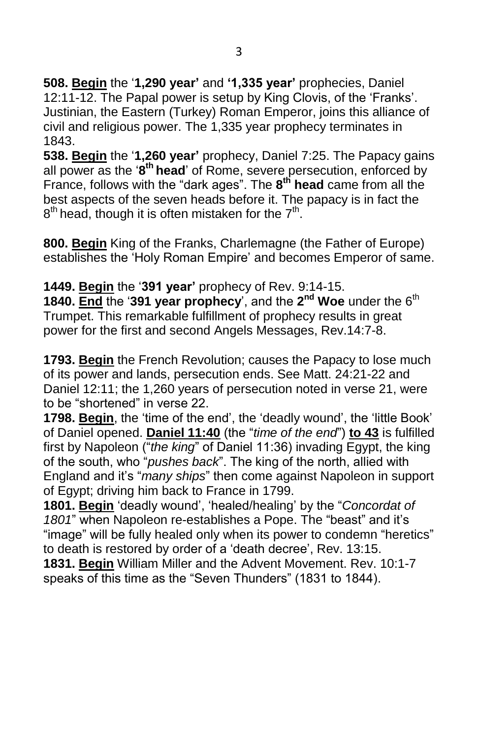**508. Begin** the '**1,290 year'** and **'1,335 year'** prophecies, Daniel 12:11-12. The Papal power is setup by King Clovis, of the 'Franks'. Justinian, the Eastern (Turkey) Roman Emperor, joins this alliance of civil and religious power. The 1,335 year prophecy terminates in 1843.

**538. Begin** the '**1,260 year'** prophecy, Daniel 7:25. The Papacy gains all power as the '**8 th head**' of Rome, severe persecution, enforced by France, follows with the "dark ages". The **8 th head** came from all the best aspects of the seven heads before it. The papacy is in fact the  $8<sup>th</sup>$  head, though it is often mistaken for the 7<sup>th</sup>.

**800. Begin** King of the Franks, Charlemagne (the Father of Europe) establishes the 'Holy Roman Empire' and becomes Emperor of same.

**1449. Begin** the '**391 year'** prophecy of Rev. 9:14-15.

**1840.** End the '391 year prophecy', and the 2<sup>nd</sup> Woe under the 6<sup>th</sup> Trumpet. This remarkable fulfillment of prophecy results in great power for the first and second Angels Messages, Rev.14:7-8.

**1793. Begin** the French Revolution; causes the Papacy to lose much of its power and lands, persecution ends. See Matt. 24:21-22 and Daniel 12:11; the 1,260 years of persecution noted in verse 21, were to be "shortened" in verse 22.

**1798. Begin**, the 'time of the end', the 'deadly wound', the 'little Book' of Daniel opened. **Daniel 11:40** (the "*time of the end*") **to 43** is fulfilled first by Napoleon ("*the king*" of Daniel 11:36) invading Egypt, the king of the south, who "*pushes back*". The king of the north, allied with England and it's "*many ships*" then come against Napoleon in support of Egypt; driving him back to France in 1799.

**1801. Begin** 'deadly wound', 'healed/healing' by the "*Concordat of 1801*" when Napoleon re-establishes a Pope. The "beast" and it's "image" will be fully healed only when its power to condemn "heretics" to death is restored by order of a 'death decree', Rev. 13:15.

**1831. Begin** William Miller and the Advent Movement. Rev. 10:1-7 speaks of this time as the "Seven Thunders" (1831 to 1844).